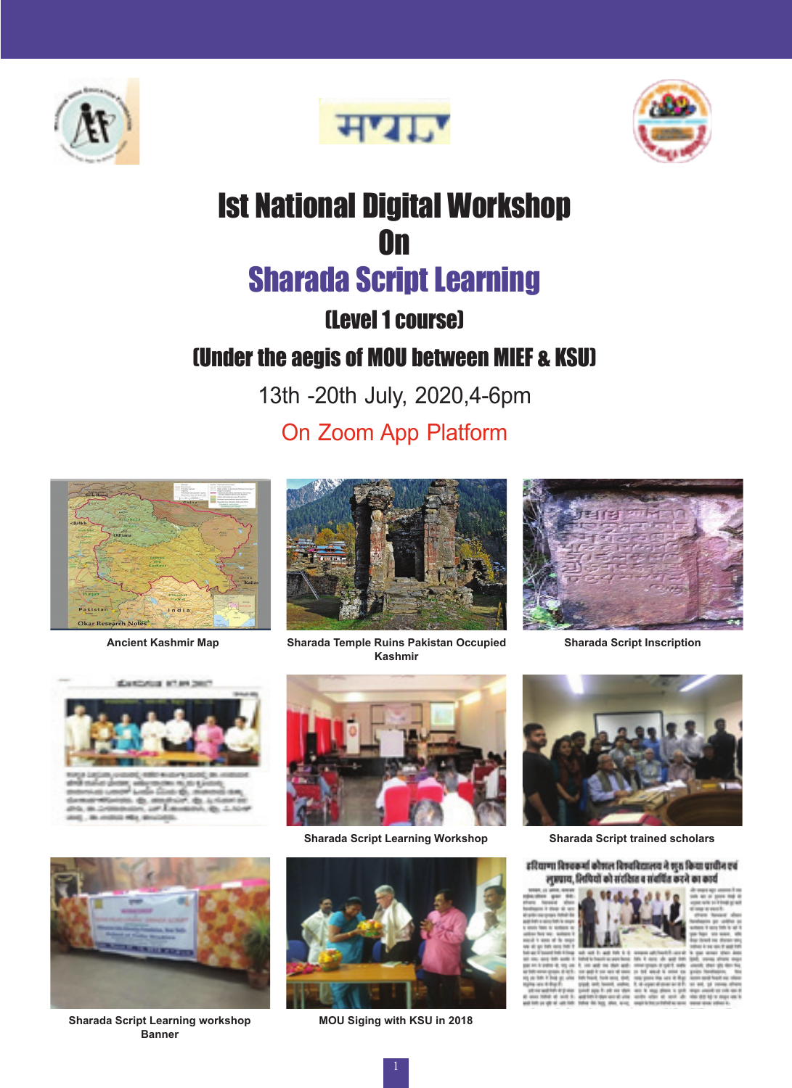





# Ist National Digital Workshop On Sharada Script Learning

## (Level 1 course)

## (Under the aegis of MOU between MIEF & KSU)

13th -20th July, 2020,4-6pm

## On Zoom App Platform







**Ancient Kashmir Map Sharada Temple Ruins Pakistan Occupied Kashmir**



**Sharada Script Inscription**



**Sharada Script Learning Workshop Sharada Script trained scholars**



**Sharada Script Learning workshop Banner**



**MOU Siging with KSU in 2018**



#### इरियाणा विषयकर्मा कोषाल विषयविद्यालय ने शुरु किया प्राचीन एवं लुप्रपाय, तिथियों को संदक्षित व संवर्धित करने का कार्य

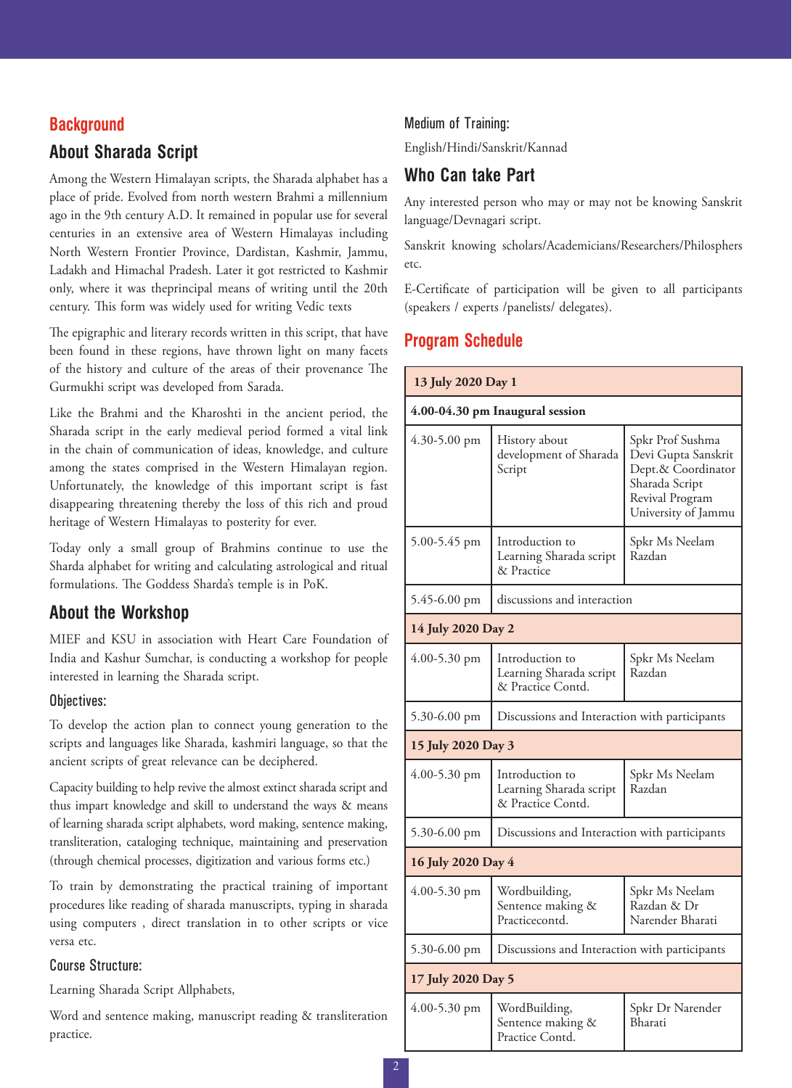### **Background**

## **About Sharada Script**

Among the Western Himalayan scripts, the Sharada alphabet has a place of pride. Evolved from north western Brahmi a millennium ago in the 9th century A.D. It remained in popular use for several centuries in an extensive area of Western Himalayas including North Western Frontier Province, Dardistan, Kashmir, Jammu, Ladakh and Himachal Pradesh. Later it got restricted to Kashmir only, where it was theprincipal means of writing until the 20th century. This form was widely used for writing Vedic texts

The epigraphic and literary records written in this script, that have been found in these regions, have thrown light on many facets of the history and culture of the areas of their provenance The Gurmukhi script was developed from Sarada.

Like the Brahmi and the Kharoshti in the ancient period, the Sharada script in the early medieval period formed a vital link in the chain of communication of ideas, knowledge, and culture among the states comprised in the Western Himalayan region. Unfortunately, the knowledge of this important script is fast disappearing threatening thereby the loss of this rich and proud heritage of Western Himalayas to posterity for ever.

Today only a small group of Brahmins continue to use the Sharda alphabet for writing and calculating astrological and ritual formulations. The Goddess Sharda's temple is in PoK.

### **About the Workshop**

MIEF and KSU in association with Heart Care Foundation of India and Kashur Sumchar, is conducting a workshop for people interested in learning the Sharada script.

#### Objectives:

To develop the action plan to connect young generation to the scripts and languages like Sharada, kashmiri language, so that the ancient scripts of great relevance can be deciphered.

Capacity building to help revive the almost extinct sharada script and thus impart knowledge and skill to understand the ways & means of learning sharada script alphabets, word making, sentence making, transliteration, cataloging technique, maintaining and preservation (through chemical processes, digitization and various forms etc.)

To train by demonstrating the practical training of important procedures like reading of sharada manuscripts, typing in sharada using computers , direct translation in to other scripts or vice versa etc.

#### Course Structure:

Learning Sharada Script Allphabets,

Word and sentence making, manuscript reading & transliteration practice.

#### Medium of Training:

English/Hindi/Sanskrit/Kannad

## **Who Can take Part**

Any interested person who may or may not be knowing Sanskrit language/Devnagari script.

Sanskrit knowing scholars/Academicians/Researchers/Philosphers etc.

E-Certificate of participation will be given to all participants (speakers / experts /panelists/ delegates).

### **Program Schedule**

| 13 July 2020 Day 1              |                                                                 |                                                                                                                           |  |
|---------------------------------|-----------------------------------------------------------------|---------------------------------------------------------------------------------------------------------------------------|--|
| 4.00-04.30 pm Inaugural session |                                                                 |                                                                                                                           |  |
| 4.30-5.00 pm                    | History about<br>development of Sharada<br>Script               | Spkr Prof Sushma<br>Devi Gupta Sanskrit<br>Dept.& Coordinator<br>Sharada Script<br>Revival Program<br>University of Jammu |  |
| 5.00-5.45 pm                    | Introduction to<br>Learning Sharada script<br>& Practice        | Spkr Ms Neelam<br>Razdan                                                                                                  |  |
| 5.45-6.00 pm                    | discussions and interaction                                     |                                                                                                                           |  |
| 14 July 2020 Day 2              |                                                                 |                                                                                                                           |  |
| 4.00-5.30 pm                    | Introduction to<br>Learning Sharada script<br>& Practice Contd. | Spkr Ms Neelam<br>Razdan                                                                                                  |  |
| 5.30-6.00 pm                    | Discussions and Interaction with participants                   |                                                                                                                           |  |
| 15 July 2020 Day 3              |                                                                 |                                                                                                                           |  |
| $4.00 - 5.30$ pm                | Introduction to<br>Learning Sharada script<br>& Practice Contd. | Spkr Ms Neelam<br>Razdan                                                                                                  |  |
| 5.30-6.00 pm                    | Discussions and Interaction with participants                   |                                                                                                                           |  |
| 16 July 2020 Day 4              |                                                                 |                                                                                                                           |  |
| 4.00-5.30 pm                    | Wordbuilding,<br>Sentence making &<br>Practicecontd.            | Spkr Ms Neelam<br>Razdan & Dr<br>Narender Bharati                                                                         |  |
| 5.30-6.00 pm                    | Discussions and Interaction with participants                   |                                                                                                                           |  |
| 17 July 2020 Day 5              |                                                                 |                                                                                                                           |  |
| 4.00-5.30 pm                    | WordBuilding,<br>Sentence making &<br>Practice Contd.           | Spkr Dr Narender<br>Bharati                                                                                               |  |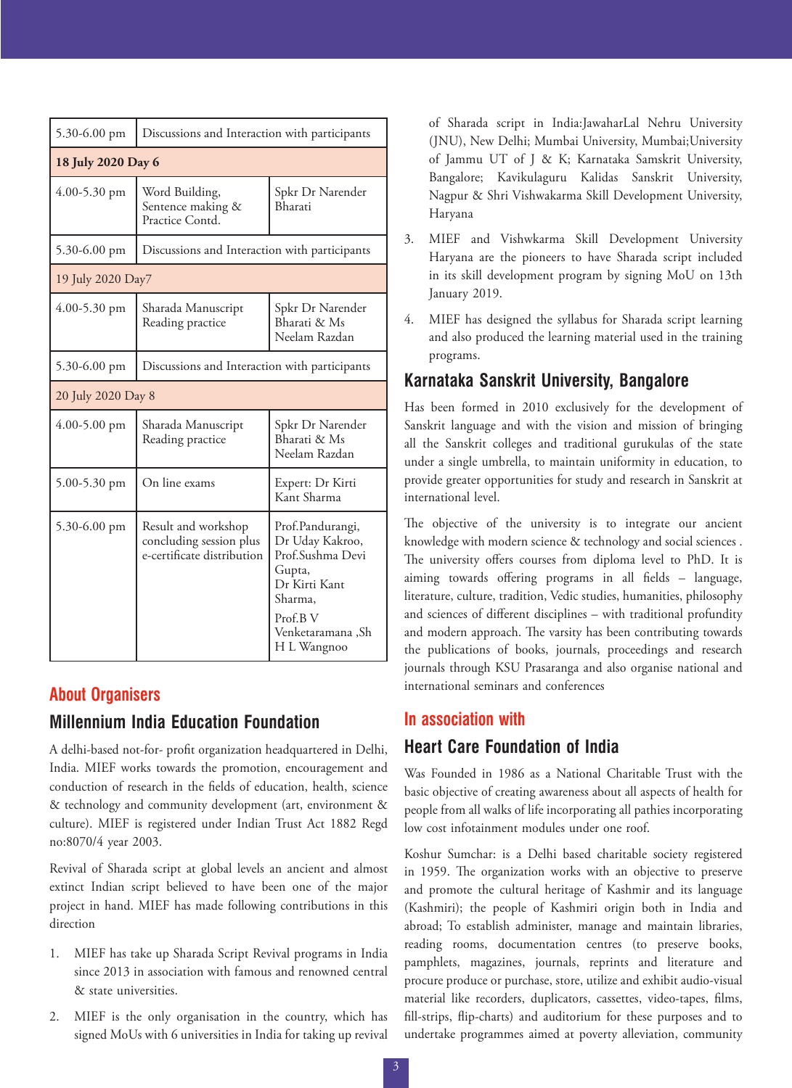| 5.30-6.00 pm       | Discussions and Interaction with participants                                |                                                                                                                                               |  |
|--------------------|------------------------------------------------------------------------------|-----------------------------------------------------------------------------------------------------------------------------------------------|--|
| 18 July 2020 Day 6 |                                                                              |                                                                                                                                               |  |
| 4.00-5.30 pm       | Word Building,<br>Sentence making &<br>Practice Contd.                       | Spkr Dr Narender<br>Bharati                                                                                                                   |  |
| 5.30-6.00 pm       | Discussions and Interaction with participants                                |                                                                                                                                               |  |
| 19 July 2020 Day7  |                                                                              |                                                                                                                                               |  |
| 4.00-5.30 pm       | Sharada Manuscript<br>Reading practice                                       | Spkr Dr Narender<br>Bharati & Ms<br>Neelam Razdan                                                                                             |  |
| $5.30 - 6.00$ pm   | Discussions and Interaction with participants                                |                                                                                                                                               |  |
| 20 July 2020 Day 8 |                                                                              |                                                                                                                                               |  |
| $4.00 - 5.00$ pm   | Sharada Manuscript<br>Reading practice                                       | Spkr Dr Narender<br>Bharati & Ms<br>Neelam Razdan                                                                                             |  |
| $5.00 - 5.30$ pm   | On line exams                                                                | Expert: Dr Kirti<br>Kant Sharma                                                                                                               |  |
| $5.30 - 6.00$ pm   | Result and workshop<br>concluding session plus<br>e-certificate distribution | Prof.Pandurangi,<br>Dr Uday Kakroo,<br>Prof.Sushma Devi<br>Gupta,<br>Dr Kirti Kant<br>Sharma,<br>Prof.B V<br>Venketaramana ,Sh<br>H L Wangnoo |  |

#### **About Organisers**

#### **Millennium India Education Foundation**

A delhi-based not-for- profit organization headquartered in Delhi, India. MIEF works towards the promotion, encouragement and conduction of research in the fields of education, health, science & technology and community development (art, environment & culture). MIEF is registered under Indian Trust Act 1882 Regd no:8070/4 year 2003.

Revival of Sharada script at global levels an ancient and almost extinct Indian script believed to have been one of the major project in hand. MIEF has made following contributions in this direction

- 1. MIEF has take up Sharada Script Revival programs in India since 2013 in association with famous and renowned central & state universities.
- 2. MIEF is the only organisation in the country, which has signed MoUs with 6 universities in India for taking up revival

of Sharada script in India:JawaharLal Nehru University (JNU), New Delhi; Mumbai University, Mumbai;University of Jammu UT of J & K; Karnataka Samskrit University, Bangalore; Kavikulaguru Kalidas Sanskrit University, Nagpur & Shri Vishwakarma Skill Development University, Haryana

- 3. MIEF and Vishwkarma Skill Development University Haryana are the pioneers to have Sharada script included in its skill development program by signing MoU on 13th January 2019.
- 4. MIEF has designed the syllabus for Sharada script learning and also produced the learning material used in the training programs.

## **Karnataka Sanskrit University, Bangalore**

Has been formed in 2010 exclusively for the development of Sanskrit language and with the vision and mission of bringing all the Sanskrit colleges and traditional gurukulas of the state under a single umbrella, to maintain uniformity in education, to provide greater opportunities for study and research in Sanskrit at international level.

The objective of the university is to integrate our ancient knowledge with modern science & technology and social sciences . The university offers courses from diploma level to PhD. It is aiming towards offering programs in all fields – language, literature, culture, tradition, Vedic studies, humanities, philosophy and sciences of different disciplines – with traditional profundity and modern approach. The varsity has been contributing towards the publications of books, journals, proceedings and research journals through KSU Prasaranga and also organise national and international seminars and conferences

## **In association with Heart Care Foundation of India**

Was Founded in 1986 as a National Charitable Trust with the basic objective of creating awareness about all aspects of health for people from all walks of life incorporating all pathies incorporating low cost infotainment modules under one roof.

Koshur Sumchar: is a Delhi based charitable society registered in 1959. The organization works with an objective to preserve and promote the cultural heritage of Kashmir and its language (Kashmiri); the people of Kashmiri origin both in India and abroad; To establish administer, manage and maintain libraries, reading rooms, documentation centres (to preserve books, pamphlets, magazines, journals, reprints and literature and procure produce or purchase, store, utilize and exhibit audio-visual material like recorders, duplicators, cassettes, video-tapes, films, fill-strips, flip-charts) and auditorium for these purposes and to undertake programmes aimed at poverty alleviation, community